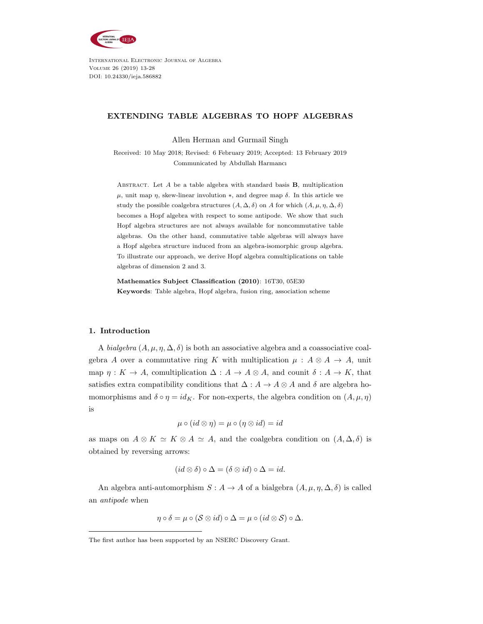

International Electronic Journal of Algebra Volume 26 (2019) 13-28 DOI: 10.24330/ieja.586882

# EXTENDING TABLE ALGEBRAS TO HOPF ALGEBRAS

Allen Herman and Gurmail Singh

Received: 10 May 2018; Revised: 6 February 2019; Accepted: 13 February 2019 Communicated by Abdullah Harmancı

ABSTRACT. Let  $A$  be a table algebra with standard basis  $B$ , multiplication  $\mu$ , unit map η, skew-linear involution \*, and degree map δ. In this article we study the possible coalgebra structures  $(A, \Delta, \delta)$  on A for which  $(A, \mu, \eta, \Delta, \delta)$ becomes a Hopf algebra with respect to some antipode. We show that such Hopf algebra structures are not always available for noncommutative table algebras. On the other hand, commutative table algebras will always have a Hopf algebra structure induced from an algebra-isomorphic group algebra. To illustrate our approach, we derive Hopf algebra comultiplications on table algebras of dimension 2 and 3.

Mathematics Subject Classification (2010): 16T30, 05E30 Keywords: Table algebra, Hopf algebra, fusion ring, association scheme

# 1. Introduction

A bialgebra  $(A, \mu, \eta, \Delta, \delta)$  is both an associative algebra and a coassociative coalgebra A over a commutative ring K with multiplication  $\mu : A \otimes A \rightarrow A$ , unit map  $\eta: K \to A$ , comultiplication  $\Delta: A \to A \otimes A$ , and counit  $\delta: A \to K$ , that satisfies extra compatibility conditions that  $\Delta: A \to A \otimes A$  and  $\delta$  are algebra homomorphisms and  $\delta \circ \eta = id_K$ . For non-experts, the algebra condition on  $(A, \mu, \eta)$ is

$$
\mu \circ (id \otimes \eta) = \mu \circ (\eta \otimes id) = id
$$

as maps on  $A \otimes K \simeq K \otimes A \simeq A$ , and the coalgebra condition on  $(A, \Delta, \delta)$  is obtained by reversing arrows:

$$
(id \otimes \delta) \circ \Delta = (\delta \otimes id) \circ \Delta = id.
$$

An algebra anti-automorphism  $S: A \to A$  of a bialgebra  $(A, \mu, \eta, \Delta, \delta)$  is called an antipode when

$$
\eta \circ \delta = \mu \circ (\mathcal{S} \otimes id) \circ \Delta = \mu \circ (id \otimes \mathcal{S}) \circ \Delta.
$$

The first author has been supported by an NSERC Discovery Grant.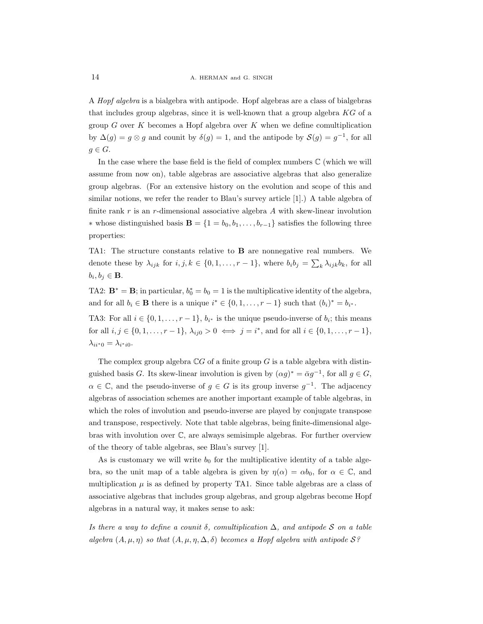A Hopf algebra is a bialgebra with antipode. Hopf algebras are a class of bialgebras that includes group algebras, since it is well-known that a group algebra KG of a group  $G$  over  $K$  becomes a Hopf algebra over  $K$  when we define comultiplication by  $\Delta(g) = g \otimes g$  and counit by  $\delta(g) = 1$ , and the antipode by  $\mathcal{S}(g) = g^{-1}$ , for all  $g \in G$ .

In the case where the base field is the field of complex numbers C (which we will assume from now on), table algebras are associative algebras that also generalize group algebras. (For an extensive history on the evolution and scope of this and similar notions, we refer the reader to Blau's survey article [1].) A table algebra of finite rank  $r$  is an  $r$ -dimensional associative algebra  $A$  with skew-linear involution ∗ whose distinguished basis **B** = {1 =  $b_0, b_1, \ldots, b_{r-1}$ } satisfies the following three properties:

TA1: The structure constants relative to B are nonnegative real numbers. We denote these by  $\lambda_{ijk}$  for  $i, j, k \in \{0, 1, \ldots, r-1\}$ , where  $b_i b_j = \sum_k \lambda_{ijk} b_k$ , for all  $b_i, b_j \in \mathbf{B}$ .

TA2:  $\mathbf{B}^* = \mathbf{B}$ ; in particular,  $b_0^* = b_0 = 1$  is the multiplicative identity of the algebra, and for all  $b_i \in \mathbf{B}$  there is a unique  $i^* \in \{0, 1, \ldots, r-1\}$  such that  $(b_i)^* = b_{i^*}.$ 

TA3: For all  $i \in \{0, 1, \ldots, r-1\}$ ,  $b_{i^*}$  is the unique pseudo-inverse of  $b_i$ ; this means for all  $i, j \in \{0, 1, \ldots, r - 1\}, \lambda_{ij0} > 0 \iff j = i^*$ , and for all  $i \in \{0, 1, \ldots, r - 1\},$  $\lambda_{ii^*0} = \lambda_{i^*i0}.$ 

The complex group algebra  $\mathbb{C}G$  of a finite group G is a table algebra with distinguished basis G. Its skew-linear involution is given by  $(\alpha g)^* = \bar{\alpha}g^{-1}$ , for all  $g \in G$ ,  $\alpha \in \mathbb{C}$ , and the pseudo-inverse of  $g \in G$  is its group inverse  $g^{-1}$ . The adjacency algebras of association schemes are another important example of table algebras, in which the roles of involution and pseudo-inverse are played by conjugate transpose and transpose, respectively. Note that table algebras, being finite-dimensional algebras with involution over C, are always semisimple algebras. For further overview of the theory of table algebras, see Blau's survey [1].

As is customary we will write  $b_0$  for the multiplicative identity of a table algebra, so the unit map of a table algebra is given by  $\eta(\alpha) = \alpha b_0$ , for  $\alpha \in \mathbb{C}$ , and multiplication  $\mu$  is as defined by property TA1. Since table algebras are a class of associative algebras that includes group algebras, and group algebras become Hopf algebras in a natural way, it makes sense to ask:

Is there a way to define a counit  $\delta$ , comultiplication  $\Delta$ , and antipode S on a table algebra  $(A, \mu, \eta)$  so that  $(A, \mu, \eta, \Delta, \delta)$  becomes a Hopf algebra with antipode  $S$ ?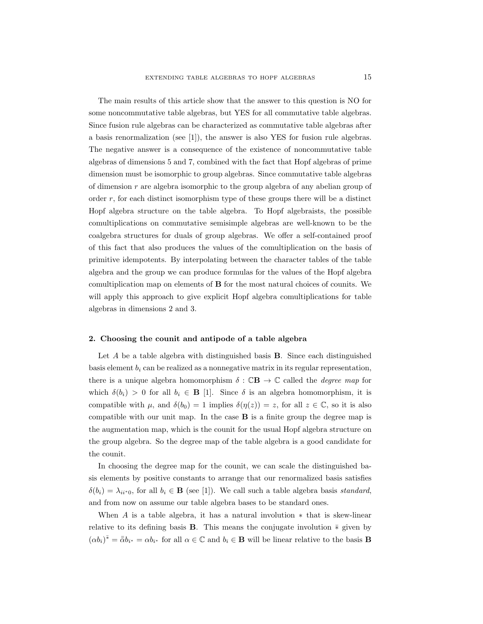The main results of this article show that the answer to this question is NO for some noncommutative table algebras, but YES for all commutative table algebras. Since fusion rule algebras can be characterized as commutative table algebras after a basis renormalization (see [1]), the answer is also YES for fusion rule algebras. The negative answer is a consequence of the existence of noncommutative table algebras of dimensions 5 and 7, combined with the fact that Hopf algebras of prime dimension must be isomorphic to group algebras. Since commutative table algebras of dimension  $r$  are algebra isomorphic to the group algebra of any abelian group of order r, for each distinct isomorphism type of these groups there will be a distinct Hopf algebra structure on the table algebra. To Hopf algebraists, the possible comultiplications on commutative semisimple algebras are well-known to be the coalgebra structures for duals of group algebras. We offer a self-contained proof of this fact that also produces the values of the comultiplication on the basis of primitive idempotents. By interpolating between the character tables of the table algebra and the group we can produce formulas for the values of the Hopf algebra comultiplication map on elements of B for the most natural choices of counits. We will apply this approach to give explicit Hopf algebra comultiplications for table algebras in dimensions 2 and 3.

#### 2. Choosing the counit and antipode of a table algebra

Let  $A$  be a table algebra with distinguished basis **B**. Since each distinguished basis element  $b_i$  can be realized as a nonnegative matrix in its regular representation, there is a unique algebra homomorphism  $\delta : \mathbb{C}\mathbf{B} \to \mathbb{C}$  called the *degree map* for which  $\delta(b_i) > 0$  for all  $b_i \in \mathbf{B}$  [1]. Since  $\delta$  is an algebra homomorphism, it is compatible with  $\mu$ , and  $\delta(b_0) = 1$  implies  $\delta(\eta(z)) = z$ , for all  $z \in \mathbb{C}$ , so it is also compatible with our unit map. In the case B is a finite group the degree map is the augmentation map, which is the counit for the usual Hopf algebra structure on the group algebra. So the degree map of the table algebra is a good candidate for the counit.

In choosing the degree map for the counit, we can scale the distinguished basis elements by positive constants to arrange that our renormalized basis satisfies  $\delta(b_i) = \lambda_{ii^*0}$ , for all  $b_i \in \mathbf{B}$  (see [1]). We call such a table algebra basis standard, and from now on assume our table algebra bases to be standard ones.

When  $A$  is a table algebra, it has a natural involution  $*$  that is skew-linear relative to its defining basis **B**. This means the conjugate involution  $\bar{*}$  given by  $(\alpha b_i)^{\bar*} = \bar{\bar{\alpha}}b_{i^*} = \alpha b_{i^*}$  for all  $\alpha \in \mathbb{C}$  and  $b_i \in \mathbf{B}$  will be linear relative to the basis **B**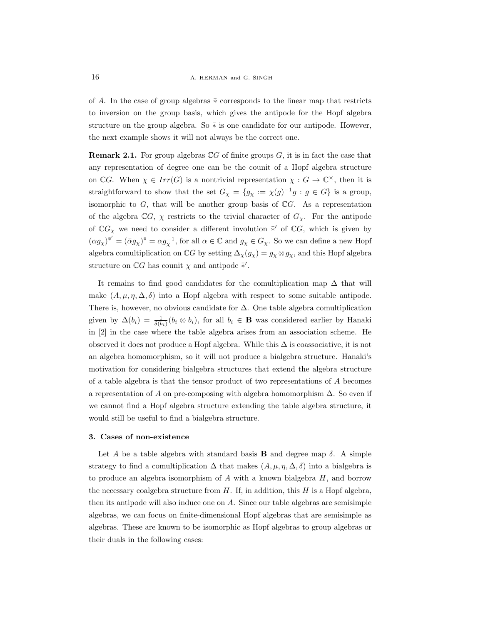of A. In the case of group algebras  $\overline{*}$  corresponds to the linear map that restricts to inversion on the group basis, which gives the antipode for the Hopf algebra structure on the group algebra. So  $\bar{*}$  is one candidate for our antipode. However, the next example shows it will not always be the correct one.

**Remark 2.1.** For group algebras  $\mathbb{C}G$  of finite groups  $G$ , it is in fact the case that any representation of degree one can be the counit of a Hopf algebra structure on CG. When  $\chi \in Irr(G)$  is a nontrivial representation  $\chi : G \to \mathbb{C}^{\times}$ , then it is straightforward to show that the set  $G_\chi = \{g_\chi := \chi(g)^{-1}g : g \in G\}$  is a group, isomorphic to  $G$ , that will be another group basis of  $\mathbb{C}G$ . As a representation of the algebra  $\mathbb{C}G$ ,  $\chi$  restricts to the trivial character of  $G_{\chi}$ . For the antipode of  $\mathbb{C}G_\chi$  we need to consider a different involution  $\bar{*}'$  of  $\mathbb{C}G$ , which is given by  $(\alpha g_\chi)^{x'} = (\bar{\alpha} g_\chi)^{x} = \alpha g_\chi^{-1}$ , for all  $\alpha \in \mathbb{C}$  and  $g_\chi \in G_\chi$ . So we can define a new Hopf algebra comultiplication on  $\mathbb{C}G$  by setting  $\Delta_{\chi}(g_{\chi}) = g_{\chi} \otimes g_{\chi}$ , and this Hopf algebra structure on  $\mathbb{C}G$  has counit  $\chi$  and antipode  $\overline{*}'$ .

It remains to find good candidates for the comultiplication map  $\Delta$  that will make  $(A, \mu, \eta, \Delta, \delta)$  into a Hopf algebra with respect to some suitable antipode. There is, however, no obvious candidate for  $\Delta$ . One table algebra comultiplication given by  $\Delta(b_i) = \frac{1}{\delta(b_i)}(b_i \otimes b_i)$ , for all  $b_i \in \mathbf{B}$  was considered earlier by Hanaki in [2] in the case where the table algebra arises from an association scheme. He observed it does not produce a Hopf algebra. While this  $\Delta$  is coassociative, it is not an algebra homomorphism, so it will not produce a bialgebra structure. Hanaki's motivation for considering bialgebra structures that extend the algebra structure of a table algebra is that the tensor product of two representations of A becomes a representation of A on pre-composing with algebra homomorphism  $\Delta$ . So even if we cannot find a Hopf algebra structure extending the table algebra structure, it would still be useful to find a bialgebra structure.

# 3. Cases of non-existence

Let A be a table algebra with standard basis **B** and degree map  $\delta$ . A simple strategy to find a comultiplication  $\Delta$  that makes  $(A, \mu, \eta, \Delta, \delta)$  into a bialgebra is to produce an algebra isomorphism of  $A$  with a known bialgebra  $H$ , and borrow the necessary coalgebra structure from  $H$ . If, in addition, this  $H$  is a Hopf algebra, then its antipode will also induce one on A. Since our table algebras are semisimple algebras, we can focus on finite-dimensional Hopf algebras that are semisimple as algebras. These are known to be isomorphic as Hopf algebras to group algebras or their duals in the following cases: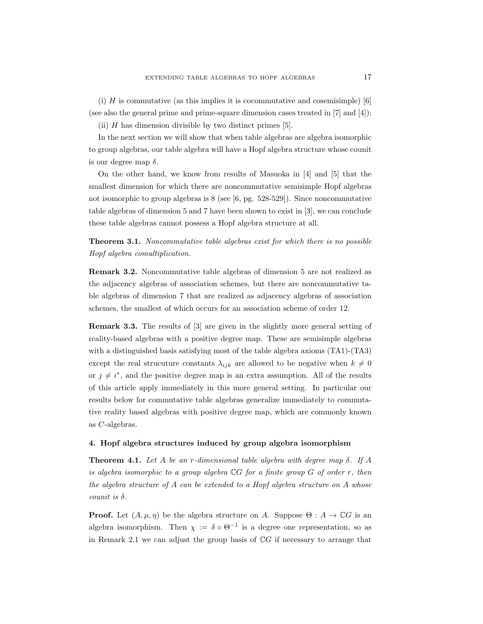(i)  $H$  is commutative (as this implies it is cocommutative and cosemisimple) [6] (see also the general prime and prime-square dimension cases treated in [7] and [4]);

(ii)  $H$  has dimension divisible by two distinct primes [5].

In the next section we will show that when table algebras are algebra isomorphic to group algebras, our table algebra will have a Hopf algebra structure whose counit is our degree map  $\delta$ .

On the other hand, we know from results of Masuoka in [4] and [5] that the smallest dimension for which there are noncommutative semisimple Hopf algebras not isomorphic to group algebras is 8 (see [6, pg. 528-529]). Since noncommutative table algebras of dimension 5 and 7 have been shown to exist in [3], we can conclude these table algebras cannot possess a Hopf algebra structure at all.

Theorem 3.1. Noncommutative table algebras exist for which there is no possible Hopf algebra comultiplication.

Remark 3.2. Noncommutative table algebras of dimension 5 are not realized as the adjacency algebras of association schemes, but there are noncommutative table algebras of dimension 7 that are realized as adjacency algebras of association schemes, the smallest of which occurs for an association scheme of order 12.

Remark 3.3. The results of [3] are given in the slightly more general setting of reality-based algebras with a positive degree map. These are semisimple algebras with a distinguished basis satisfying most of the table algebra axioms (TA1)-(TA3) except the real strucuture constants  $\lambda_{ijk}$  are allowed to be negative when  $k \neq 0$ or  $j \neq i^*$ , and the positive degree map is an extra assumption. All of the results of this article apply immediately in this more general setting. In particular our results below for commutative table algebras generalize immediately to commutative reality based algebras with positive degree map, which are commonly known as C-algebras.

### 4. Hopf algebra structures induced by group algebra isomorphism

**Theorem 4.1.** Let A be an r-dimensional table algebra with degree map  $\delta$ . If A is algebra isomorphic to a group algebra  $\mathbb{C}G$  for a finite group  $G$  of order r, then the algebra structure of A can be extended to a Hopf algebra structure on A whose counit is  $\delta$ .

**Proof.** Let  $(A, \mu, \eta)$  be the algebra structure on A. Suppose  $\Theta : A \to \mathbb{C}G$  is an algebra isomorphism. Then  $\chi := \delta \circ \Theta^{-1}$  is a degree one representation, so as in Remark 2.1 we can adjust the group basis of  $\mathbb{C}G$  if necessary to arrange that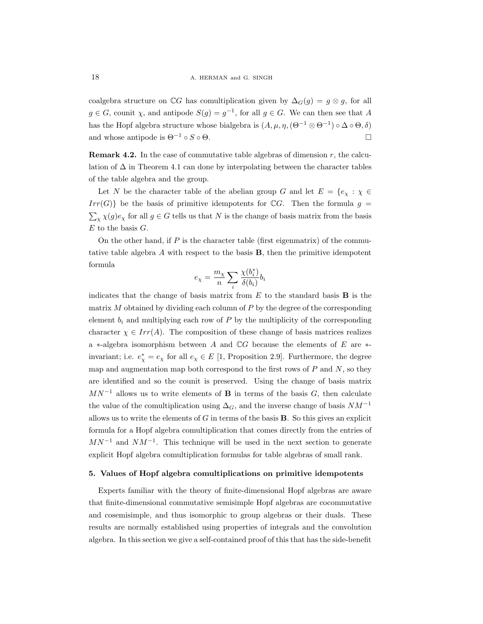coalgebra structure on  $\mathbb{C}G$  has comultiplication given by  $\Delta_G(g) = g \otimes g$ , for all  $g \in G$ , counit  $\chi$ , and antipode  $S(g) = g^{-1}$ , for all  $g \in G$ . We can then see that A has the Hopf algebra structure whose bialgebra is  $(A, \mu, \eta, (\Theta^{-1} \otimes \Theta^{-1}) \circ \Delta \circ \Theta, \delta)$ and whose antipode is  $\Theta^{-1} \circ S \circ \Theta$ .

**Remark 4.2.** In the case of commutative table algebras of dimension  $r$ , the calculation of  $\Delta$  in Theorem 4.1 can done by interpolating between the character tables of the table algebra and the group.

Let N be the character table of the abelian group G and let  $E = \{e_x : \chi \in$  $Irr(G)$  be the basis of primitive idempotents for CG. Then the formula  $g =$  $\sum_{\chi} \chi(g) e_{\chi}$  for all  $g \in G$  tells us that N is the change of basis matrix from the basis  $E$  to the basis  $G$ .

On the other hand, if  $P$  is the character table (first eigenmatrix) of the commutative table algebra A with respect to the basis B, then the primitive idempotent formula

$$
e_{\chi} = \frac{m_{\chi}}{n} \sum_{i} \frac{\chi(b_i^*)}{\delta(b_i)} b_i
$$

indicates that the change of basis matrix from  $E$  to the standard basis  $\bf{B}$  is the matrix  $M$  obtained by dividing each column of  $P$  by the degree of the corresponding element  $b_i$  and multiplying each row of  $P$  by the multiplicity of the corresponding character  $\chi \in Irr(A)$ . The composition of these change of basis matrices realizes a ∗-algebra isomorphism between A and CG because the elements of E are ∗ invariant; i.e.  $e^*_{\chi} = e_{\chi}$  for all  $e_{\chi} \in E$  [1, Proposition 2.9]. Furthermore, the degree map and augmentation map both correspond to the first rows of  $P$  and  $N$ , so they are identified and so the counit is preserved. Using the change of basis matrix  $MN^{-1}$  allows us to write elements of **B** in terms of the basis G, then calculate the value of the comultiplication using  $\Delta_G$ , and the inverse change of basis  $NM^{-1}$ allows us to write the elements of  $G$  in terms of the basis  $\bf{B}$ . So this gives an explicit formula for a Hopf algebra comultiplication that comes directly from the entries of  $MN^{-1}$  and  $NM^{-1}$ . This technique will be used in the next section to generate explicit Hopf algebra comultiplication formulas for table algebras of small rank.

#### 5. Values of Hopf algebra comultiplications on primitive idempotents

Experts familiar with the theory of finite-dimensional Hopf algebras are aware that finite-dimensional commutative semisimple Hopf algebras are cocommutative and cosemisimple, and thus isomorphic to group algebras or their duals. These results are normally established using properties of integrals and the convolution algebra. In this section we give a self-contained proof of this that has the side-benefit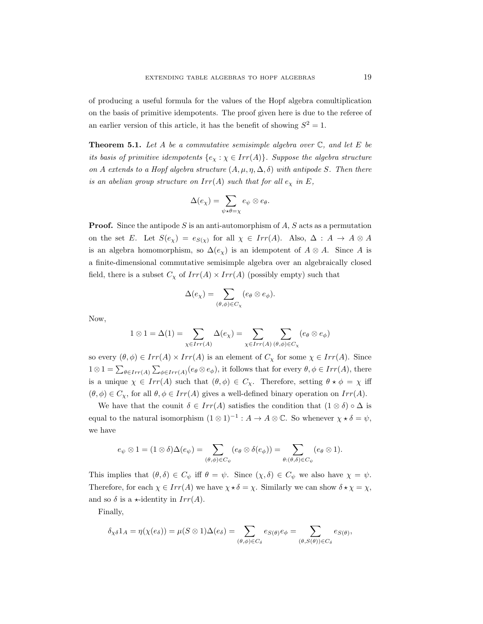of producing a useful formula for the values of the Hopf algebra comultiplication on the basis of primitive idempotents. The proof given here is due to the referee of an earlier version of this article, it has the benefit of showing  $S^2 = 1$ .

**Theorem 5.1.** Let A be a commutative semisimple algebra over  $\mathbb{C}$ , and let E be its basis of primitive idempotents  $\{e_\chi : \chi \in Irr(A)\}$ . Suppose the algebra structure on A extends to a Hopf algebra structure  $(A, \mu, \eta, \Delta, \delta)$  with antipode S. Then there is an abelian group structure on  $Irr(A)$  such that for all  $e<sub>x</sub>$  in E,

$$
\Delta(e_{\chi}) = \sum_{\psi \star \theta = \chi} e_{\psi} \otimes e_{\theta}.
$$

**Proof.** Since the antipode S is an anti-automorphism of  $A$ ,  $S$  acts as a permutation on the set E. Let  $S(e_{\chi}) = e_{S(\chi)}$  for all  $\chi \in Irr(A)$ . Also,  $\Delta: A \to A \otimes A$ is an algebra homomorphism, so  $\Delta(e_{\chi})$  is an idempotent of  $A \otimes A$ . Since A is a finite-dimensional commutative semisimple algebra over an algebraically closed field, there is a subset  $C_{\chi}$  of  $Irr(A) \times Irr(A)$  (possibly empty) such that

$$
\Delta(e_{\chi}) = \sum_{(\theta,\phi) \in C_{\chi}} (e_{\theta} \otimes e_{\phi}).
$$

Now,

$$
1 \otimes 1 = \Delta(1) = \sum_{\chi \in Irr(A)} \Delta(e_{\chi}) = \sum_{\chi \in Irr(A)} \sum_{(\theta,\phi) \in C_{\chi}} (e_{\theta} \otimes e_{\phi})
$$

so every  $(\theta, \phi) \in Irr(A) \times Irr(A)$  is an element of  $C_\chi$  for some  $\chi \in Irr(A)$ . Since  $1 \otimes 1 = \sum_{\theta \in Irr(A)} \sum_{\phi \in Irr(A)} (e_{\theta} \otimes e_{\phi})$ , it follows that for every  $\theta, \phi \in Irr(A)$ , there is a unique  $\chi \in Irr(A)$  such that  $(\theta, \phi) \in C_{\chi}$ . Therefore, setting  $\theta * \phi = \chi$  iff  $(\theta, \phi) \in C_{\chi}$ , for all  $\theta, \phi \in Irr(A)$  gives a well-defined binary operation on  $Irr(A)$ .

We have that the counit  $\delta \in Irr(A)$  satisfies the condition that  $(1 \otimes \delta) \circ \Delta$  is equal to the natural isomorphism  $(1 \otimes 1)^{-1}$  :  $A \to A \otimes \mathbb{C}$ . So whenever  $\chi \star \delta = \psi$ , we have

$$
e_{\psi} \otimes 1 = (1 \otimes \delta) \Delta(e_{\psi}) = \sum_{(\theta, \phi) \in C_{\psi}} (e_{\theta} \otimes \delta(e_{\phi})) = \sum_{\theta : (\theta, \delta) \in C_{\psi}} (e_{\theta} \otimes 1).
$$

This implies that  $(\theta, \delta) \in C_{\psi}$  iff  $\theta = \psi$ . Since  $(\chi, \delta) \in C_{\psi}$  we also have  $\chi = \psi$ . Therefore, for each  $\chi \in Irr(A)$  we have  $\chi \star \delta = \chi$ . Similarly we can show  $\delta \star \chi = \chi$ , and so  $\delta$  is a  $\star$ -identity in  $Irr(A)$ .

Finally,

$$
\delta_{\chi\delta}1_A = \eta(\chi(e_{\delta})) = \mu(S\otimes 1)\Delta(e_{\delta}) = \sum_{(\theta,\phi)\in C_{\delta}}e_{S(\theta)}e_{\phi} = \sum_{(\theta,S(\theta))\in C_{\delta}}e_{S(\theta)},
$$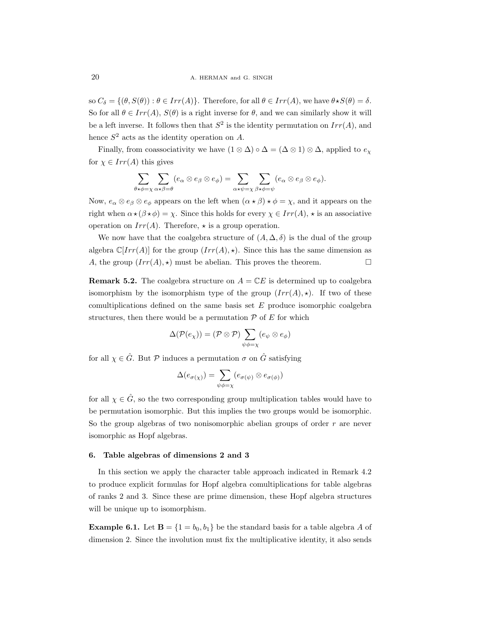so  $C_{\delta} = \{(\theta, S(\theta)) : \theta \in Irr(A)\}\.$  Therefore, for all  $\theta \in Irr(A)$ , we have  $\theta \star S(\theta) = \delta$ . So for all  $\theta \in Irr(A), S(\theta)$  is a right inverse for  $\theta$ , and we can similarly show it will be a left inverse. It follows then that  $S^2$  is the identity permutation on  $Irr(A)$ , and hence  $S^2$  acts as the identity operation on A.

Finally, from coassociativity we have  $(1 \otimes \Delta) \circ \Delta = (\Delta \otimes 1) \otimes \Delta$ , applied to  $e_{\chi}$ for  $\chi \in Irr(A)$  this gives

$$
\sum_{\theta \star \phi = \chi} \sum_{\alpha \star \beta = \theta} (e_{\alpha} \otimes e_{\beta} \otimes e_{\phi}) = \sum_{\alpha \star \psi = \chi} \sum_{\beta \star \phi = \psi} (e_{\alpha} \otimes e_{\beta} \otimes e_{\phi}).
$$

Now,  $e_{\alpha} \otimes e_{\beta} \otimes e_{\phi}$  appears on the left when  $(\alpha \star \beta) \star \phi = \chi$ , and it appears on the right when  $\alpha \star (\beta \star \phi) = \chi$ . Since this holds for every  $\chi \in Irr(A)$ ,  $\star$  is an associative operation on  $Irr(A)$ . Therefore,  $\star$  is a group operation.

We now have that the coalgebra structure of  $(A, \Delta, \delta)$  is the dual of the group algebra  $\mathbb{C}[Irr(A)]$  for the group  $(Irr(A), \star)$ . Since this has the same dimension as A, the group  $(Irr(A), \star)$  must be abelian. This proves the theorem.

**Remark 5.2.** The coalgebra structure on  $A = \mathbb{C}E$  is determined up to coalgebra isomorphism by the isomorphism type of the group  $(Irr(A), \star)$ . If two of these comultiplications defined on the same basis set  $E$  produce isomorphic coalgebra structures, then there would be a permutation  $P$  of  $E$  for which

$$
\Delta(\mathcal{P}(e_{\chi})) = (\mathcal{P} \otimes \mathcal{P}) \sum_{\psi \phi = \chi} (e_{\psi} \otimes e_{\phi})
$$

for all  $\chi \in \hat{G}$ . But  $\mathcal P$  induces a permutation  $\sigma$  on  $\hat{G}$  satisfying

$$
\Delta(e_{\sigma(\chi)}) = \sum_{\psi \phi = \chi} (e_{\sigma(\psi)} \otimes e_{\sigma(\phi)})
$$

for all  $\chi \in \hat{G}$ , so the two corresponding group multiplication tables would have to be permutation isomorphic. But this implies the two groups would be isomorphic. So the group algebras of two nonisomorphic abelian groups of order  $r$  are never isomorphic as Hopf algebras.

#### 6. Table algebras of dimensions 2 and 3

In this section we apply the character table approach indicated in Remark 4.2 to produce explicit formulas for Hopf algebra comultiplications for table algebras of ranks 2 and 3. Since these are prime dimension, these Hopf algebra structures will be unique up to isomorphism.

**Example 6.1.** Let  $\mathbf{B} = \{1 = b_0, b_1\}$  be the standard basis for a table algebra A of dimension 2. Since the involution must fix the multiplicative identity, it also sends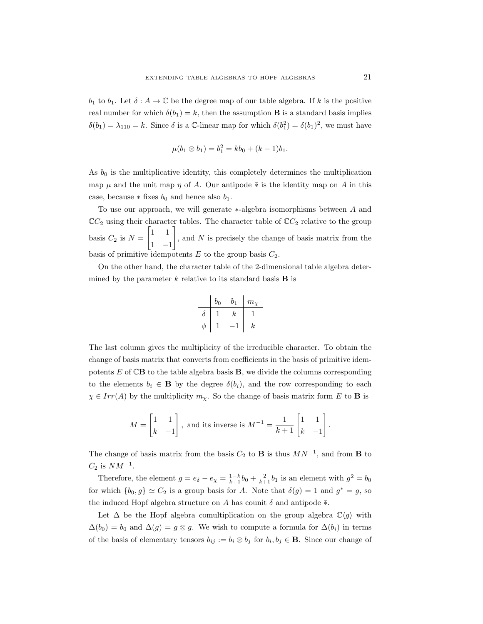$b_1$  to  $b_1$ . Let  $\delta: A \to \mathbb{C}$  be the degree map of our table algebra. If k is the positive real number for which  $\delta(b_1) = k$ , then the assumption **B** is a standard basis implies  $\delta(b_1) = \lambda_{110} = k$ . Since  $\delta$  is a C-linear map for which  $\delta(b_1^2) = \delta(b_1)^2$ , we must have

$$
\mu(b_1 \otimes b_1) = b_1^2 = kb_0 + (k-1)b_1.
$$

As  $b_0$  is the multiplicative identity, this completely determines the multiplication map  $\mu$  and the unit map  $\eta$  of A. Our antipode  $\overline{*}$  is the identity map on A in this case, because  $*$  fixes  $b_0$  and hence also  $b_1$ .

To use our approach, we will generate ∗-algebra isomorphisms between A and  $\mathbb{C}C_2$  using their character tables. The character table of  $\mathbb{C}C_2$  relative to the group basis  $C_2$  is  $N =$  $\begin{bmatrix} 1 & 1 \end{bmatrix}$ 1 −1 1 , and N is precisely the change of basis matrix from the basis of primitive idempotents  $E$  to the group basis  $C_2$ .

On the other hand, the character table of the 2-dimensional table algebra determined by the parameter  $k$  relative to its standard basis **B** is

$$
\begin{array}{c|cc} & b_0 & b_1 & m_{\chi} \\ \hline \delta & 1 & k & 1 \\ \phi & 1 & -1 & k \\ \end{array}
$$

The last column gives the multiplicity of the irreducible character. To obtain the change of basis matrix that converts from coefficients in the basis of primitive idempotents  $E$  of  $\mathbb{C}\mathbf{B}$  to the table algebra basis  $\mathbf{B}$ , we divide the columns corresponding to the elements  $b_i \in \mathbf{B}$  by the degree  $\delta(b_i)$ , and the row corresponding to each  $\chi \in Irr(A)$  by the multiplicity  $m_{\chi}$ . So the change of basis matrix form E to **B** is

$$
M = \begin{bmatrix} 1 & 1 \\ k & -1 \end{bmatrix}
$$
, and its inverse is  $M^{-1} = \frac{1}{k+1} \begin{bmatrix} 1 & 1 \\ k & -1 \end{bmatrix}$ .

The change of basis matrix from the basis  $C_2$  to **B** is thus  $MN^{-1}$ , and from **B** to  $C_2$  is  $NM^{-1}$ .

Therefore, the element  $g = e_{\delta} - e_{\chi} = \frac{1-k}{k+1} b_0 + \frac{2}{k+1} b_1$  is an element with  $g^2 = b_0$ for which  $\{b_0, g\} \simeq C_2$  is a group basis for A. Note that  $\delta(g) = 1$  and  $g^* = g$ , so the induced Hopf algebra structure on A has counit  $\delta$  and antipode  $\overline{\ast}$ .

Let  $\Delta$  be the Hopf algebra comultiplication on the group algebra  $\mathbb{C}\langle g \rangle$  with  $\Delta(b_0) = b_0$  and  $\Delta(g) = g \otimes g$ . We wish to compute a formula for  $\Delta(b_i)$  in terms of the basis of elementary tensors  $b_{ij} := b_i \otimes b_j$  for  $b_i, b_j \in \mathbf{B}$ . Since our change of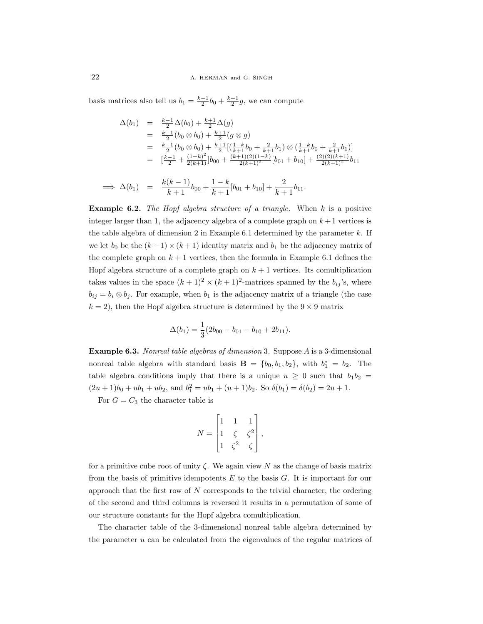basis matrices also tell us  $b_1 = \frac{k-1}{2}b_0 + \frac{k+1}{2}g$ , we can compute

$$
\Delta(b_1) = \frac{k-1}{2}\Delta(b_0) + \frac{k+1}{2}\Delta(g)
$$
  
\n
$$
= \frac{k-1}{2}(b_0 \otimes b_0) + \frac{k+1}{2}(g \otimes g)
$$
  
\n
$$
= \frac{k-1}{2}(b_0 \otimes b_0) + \frac{k+1}{2}[(\frac{1-k}{k+1}b_0 + \frac{2}{k+1}b_1) \otimes (\frac{1-k}{k+1}b_0 + \frac{2}{k+1}b_1)]
$$
  
\n
$$
= [\frac{k-1}{2} + \frac{(1-k)^2}{2(k+1)}]b_{00} + \frac{(k+1)(2)(1-k)}{2(k+1)^2}[b_{01} + b_{10}] + \frac{(2)(2)(k+1)}{2(k+1)^2}b_{11}
$$
  
\n
$$
\implies \Delta(b_1) = \frac{k(k-1)}{k+1}b_{00} + \frac{1-k}{k+1}[b_{01} + b_{10}] + \frac{2}{k+1}b_{11}.
$$

**Example 6.2.** The Hopf algebra structure of a triangle. When  $k$  is a positive integer larger than 1, the adjacency algebra of a complete graph on  $k+1$  vertices is the table algebra of dimension 2 in Example 6.1 determined by the parameter  $k$ . If we let  $b_0$  be the  $(k+1) \times (k+1)$  identity matrix and  $b_1$  be the adjacency matrix of the complete graph on  $k+1$  vertices, then the formula in Example 6.1 defines the Hopf algebra structure of a complete graph on  $k+1$  vertices. Its comultiplication takes values in the space  $(k+1)^2 \times (k+1)^2$ -matrices spanned by the  $b_{ij}$ 's, where  $b_{ij} = b_i \otimes b_j$ . For example, when  $b_1$  is the adjacency matrix of a triangle (the case  $k = 2$ , then the Hopf algebra structure is determined by the  $9 \times 9$  matrix

$$
\Delta(b_1) = \frac{1}{3}(2b_{00} - b_{01} - b_{10} + 2b_{11}).
$$

Example 6.3. Nonreal table algebras of dimension 3. Suppose A is a 3-dimensional nonreal table algebra with standard basis  $\mathbf{B} = \{b_0, b_1, b_2\}$ , with  $b_1^* = b_2$ . The table algebra conditions imply that there is a unique  $u \geq 0$  such that  $b_1b_2 =$  $(2u+1)b_0 + ub_1 + ub_2$ , and  $b_1^2 = ub_1 + (u+1)b_2$ . So  $\delta(b_1) = \delta(b_2) = 2u+1$ .

For  $G = C_3$  the character table is

$$
N = \begin{bmatrix} 1 & 1 & 1 \\ 1 & \zeta & \zeta^2 \\ 1 & \zeta^2 & \zeta \end{bmatrix},
$$

for a primitive cube root of unity  $\zeta$ . We again view N as the change of basis matrix from the basis of primitive idempotents  $E$  to the basis  $G$ . It is important for our approach that the first row of  $N$  corresponds to the trivial character, the ordering of the second and third columns is reversed it results in a permutation of some of our structure constants for the Hopf algebra comultiplication.

The character table of the 3-dimensional nonreal table algebra determined by the parameter  $u$  can be calculated from the eigenvalues of the regular matrices of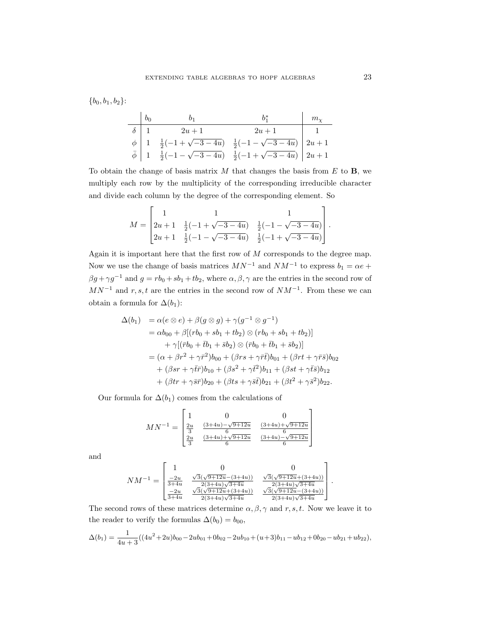$$
\{b_0, b_1, b_2\}:
$$

$$
\begin{array}{c|c|c|c|c|c} & b_0 & b_1 & b_1^* & m_\chi \\ \hline \delta & 1 & 2u+1 & 2u+1 & 1 \\ \phi & 1 & \frac{1}{2}(-1+\sqrt{-3-4u}) & \frac{1}{2}(-1-\sqrt{-3-4u}) & 2u+1 \\ \bar{\phi} & 1 & \frac{1}{2}(-1-\sqrt{-3-4u}) & \frac{1}{2}(-1+\sqrt{-3-4u}) & 2u+1 \end{array}
$$

To obtain the change of basis matrix  $M$  that changes the basis from  $E$  to  $\mathbf{B}$ , we multiply each row by the multiplicity of the corresponding irreducible character and divide each column by the degree of the corresponding element. So

$$
M = \begin{bmatrix} 1 & 1 & 1 \\ 2u + 1 & \frac{1}{2}(-1 + \sqrt{-3 - 4u}) & \frac{1}{2}(-1 - \sqrt{-3 - 4u}) \\ 2u + 1 & \frac{1}{2}(-1 - \sqrt{-3 - 4u}) & \frac{1}{2}(-1 + \sqrt{-3 - 4u}) \end{bmatrix}.
$$

Again it is important here that the first row of  $M$  corresponds to the degree map. Now we use the change of basis matrices  $MN^{-1}$  and  $NM^{-1}$  to express  $b_1 = \alpha e +$  $\beta g + \gamma g^{-1}$  and  $g = rb_0 + sb_1 + tb_2$ , where  $\alpha, \beta, \gamma$  are the entries in the second row of  $MN^{-1}$  and r, s, t are the entries in the second row of  $NM^{-1}$ . From these we can obtain a formula for  $\Delta(b_1)$ :

$$
\Delta(b_1) = \alpha(e \otimes e) + \beta(g \otimes g) + \gamma(g^{-1} \otimes g^{-1}) \n= \alpha b_{00} + \beta[(rb_0 + sb_1 + tb_2) \otimes (rb_0 + sb_1 + tb_2)] \n+ \gamma[(\bar{r}b_0 + \bar{t}b_1 + \bar{s}b_2) \otimes (\bar{r}b_0 + \bar{t}b_1 + \bar{s}b_2)] \n= (\alpha + \beta r^2 + \gamma \bar{r}^2)b_{00} + (\beta rs + \gamma \bar{r}t)b_{01} + (\beta rt + \gamma \bar{r}s)b_{02} \n+ (\beta sr + \gamma \bar{t}r)b_{10} + (\beta s^2 + \gamma \bar{t}^2)b_{11} + (\beta st + \gamma \bar{t} s)b_{12} \n+ (\beta tr + \gamma \bar{s}r)b_{20} + (\beta ts + \gamma \bar{s}t)b_{21} + (\beta t^2 + \gamma \bar{s}^2)b_{22}.
$$

Our formula for  $\Delta(b_1)$  comes from the calculations of

 $\overline{a}$ 

$$
MN^{-1} = \begin{bmatrix} 1 & 0 & 0 \\ \frac{2u}{3} & \frac{(3+4u)-\sqrt{9+12u}}{6} & \frac{(3+4u)+\sqrt{9+12u}}{6} \\ \frac{2u}{3} & \frac{(3+4u)+\sqrt{9+12u}}{6} & \frac{(3+4u)-\sqrt{9+12u}}{6} \end{bmatrix}
$$

and

$$
NM^{-1} = \begin{bmatrix} 1 & 0 & 0 \\ \frac{-2u}{3+4u} & \frac{\sqrt{3}(\sqrt{9+12u} - (3+4u))}{2(3+4u)\sqrt{3+4u}} & \frac{\sqrt{3}(\sqrt{9+12u} + (3+4u))}{2(3+4u)\sqrt{3+4u}} \\ \frac{-2u}{3+4u} & \frac{\sqrt{3}(\sqrt{9+12u} + (3+4u))}{2(3+4u)\sqrt{3+4u}} & \frac{\sqrt{3}(\sqrt{9+12u} - (3+4u))}{2(3+4u)\sqrt{3+4u}} \end{bmatrix}.
$$

The second rows of these matrices determine  $\alpha, \beta, \gamma$  and r, s, t. Now we leave it to the reader to verify the formulas  $\Delta(b_0) = b_{00}$ ,

$$
\Delta(b_1) = \frac{1}{4u+3}((4u^2+2u)b_{00}-2ub_{01}+0b_{02}-2ub_{10}+(u+3)b_{11}-ub_{12}+0b_{20}-ub_{21}+ub_{22}),
$$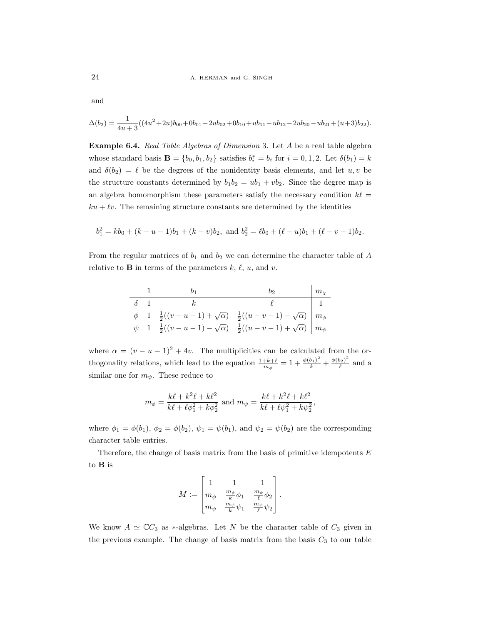and

$$
\Delta(b_2) = \frac{1}{4u+3}((4u^2+2u)b_{00}+0b_{01}-2ub_{02}+0b_{10}+ub_{11}-ub_{12}-2ub_{20}-ub_{21}+(u+3)b_{22}).
$$

Example 6.4. Real Table Algebras of Dimension 3. Let A be a real table algebra whose standard basis **B** = { $b_0, b_1, b_2$ } satisfies  $b_i^* = b_i$  for  $i = 0, 1, 2$ . Let  $\delta(b_1) = k$ and  $\delta(b_2) = \ell$  be the degrees of the nonidentity basis elements, and let  $u, v$  be the structure constants determined by  $b_1b_2 = ub_1 + vb_2$ . Since the degree map is an algebra homomorphism these parameters satisfy the necessary condition  $k\ell =$  $ku + \ell v$ . The remaining structure constants are determined by the identities

$$
b_1^2 = kb_0 + (k - u - 1)b_1 + (k - v)b_2
$$
, and  $b_2^2 = \ell b_0 + (\ell - u)b_1 + (\ell - v - 1)b_2$ .

From the regular matrices of  $b_1$  and  $b_2$  we can determine the character table of A relative to **B** in terms of the parameters  $k, \ell, u$ , and v.

$$
\begin{array}{c|c|c} & 1 & b_1 & b_2 & m_{\chi} \\ \hline \delta & 1 & k & \ell & 1 \\ \phi & 1 & \frac{1}{2}((v - u - 1) + \sqrt{\alpha}) & \frac{1}{2}((u - v - 1) - \sqrt{\alpha}) & m_{\phi} \\ \psi & 1 & \frac{1}{2}((v - u - 1) - \sqrt{\alpha}) & \frac{1}{2}((u - v - 1) + \sqrt{\alpha}) & m_{\psi} \end{array}
$$

where  $\alpha = (v - u - 1)^2 + 4v$ . The multiplicities can be calculated from the orthogonality relations, which lead to the equation  $\frac{1+k+\ell}{m_\phi} = 1 + \frac{\phi(b_1)^2}{k} + \frac{\phi(b_2)^2}{\ell}$  $\frac{\partial_2 f}{\partial}$  and a similar one for  $m_{\psi}$ . These reduce to

$$
m_{\phi} = \frac{k\ell + k^2\ell + k\ell^2}{k\ell + \ell\phi_1^2 + k\phi_2^2}
$$
 and 
$$
m_{\psi} = \frac{k\ell + k^2\ell + k\ell^2}{k\ell + \ell\psi_1^2 + k\psi_2^2},
$$

where  $\phi_1 = \phi(b_1)$ ,  $\phi_2 = \phi(b_2)$ ,  $\psi_1 = \psi(b_1)$ , and  $\psi_2 = \psi(b_2)$  are the corresponding character table entries.

Therefore, the change of basis matrix from the basis of primitive idempotents  $E$ to B is

$$
M:=\begin{bmatrix} 1 & 1 & 1 \\ m_{\phi} & \frac{m_{\phi}}{k} \phi_1 & \frac{m_{\phi}}{\ell} \phi_2 \\ m_{\psi} & \frac{m_{\psi}}{k} \psi_1 & \frac{m_{\psi}}{\ell} \psi_2 \end{bmatrix}.
$$

We know  $A \simeq \mathbb{C}C_3$  as \*-algebras. Let N be the character table of  $C_3$  given in the previous example. The change of basis matrix from the basis  $C_3$  to our table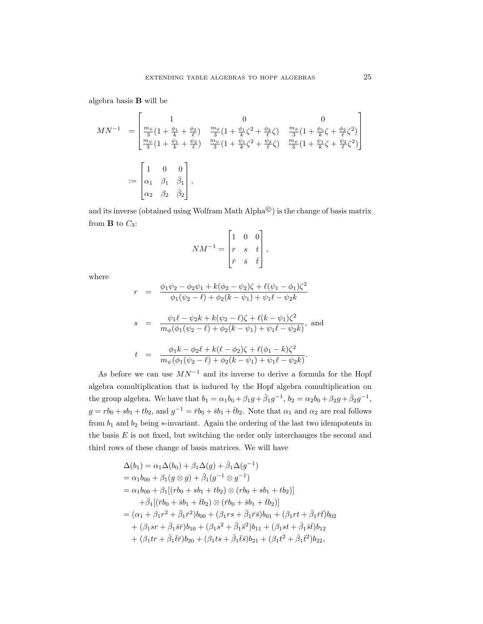algebra basis B will be

$$
MN^{-1} = \begin{bmatrix} 1 & 0 & 0 \\ \frac{m_{\phi}}{3} \left(1 + \frac{\phi_1}{k} + \frac{\phi_2}{\ell}\right) & \frac{m_{\phi}}{3} \left(1 + \frac{\phi_1}{k}\zeta^2 + \frac{\phi_2}{\ell}\zeta\right) & \frac{m_{\phi}}{3} \left(1 + \frac{\phi_1}{k}\zeta + \frac{\phi_2}{\ell}\zeta^2\right) \\ \frac{m_{\psi}}{3} \left(1 + \frac{\psi_1}{k} + \frac{\psi_2}{\ell}\right) & \frac{m_{\psi}}{3} \left(1 + \frac{\psi_1}{k}\zeta^2 + \frac{\psi_2}{\ell}\zeta\right) & \frac{m_{\psi}}{3} \left(1 + \frac{\psi_1}{k}\zeta + \frac{\psi_2}{\ell}\zeta^2\right) \end{bmatrix}
$$
  
 := 
$$
\begin{bmatrix} 1 & 0 & 0 \\ \alpha_1 & \beta_1 & \bar{\beta}_1 \\ \alpha_2 & \beta_2 & \bar{\beta}_2 \end{bmatrix},
$$

and its inverse (obtained using Wolfram Math  $Alpha^{\textcircled{c}}$ ) is the change of basis matrix from  $\bf{B}$  to  $C_3$ :

$$
NM^{-1} = \begin{bmatrix} 1 & 0 & 0 \\ r & s & t \\ \bar{r} & \bar{s} & \bar{t} \end{bmatrix},
$$

where

$$
r = \frac{\phi_1 \psi_2 - \phi_2 \psi_1 + k(\phi_2 - \psi_2)\zeta + \ell(\psi_1 - \phi_1)\zeta^2}{\phi_1(\psi_2 - \ell) + \phi_2(k - \psi_1) + \psi_1\ell - \psi_2k}
$$
  
\n
$$
s = \frac{\psi_1 \ell - \psi_2 k + k(\psi_2 - \ell)\zeta + \ell(k - \psi_1)\zeta^2}{m_{\phi}(\phi_1(\psi_2 - \ell) + \phi_2(k - \psi_1) + \psi_1\ell - \psi_2k)}, \text{ and}
$$
  
\n
$$
t = \frac{\phi_1 k - \phi_2 \ell + k(\ell - \phi_2)\zeta + \ell(\phi_1 - k)\zeta^2}{m_{\psi}(\phi_1(\psi_2 - \ell) + \phi_2(k - \psi_1) + \psi_1\ell - \psi_2k)}.
$$

As before we can use  $MN^{-1}$  and its inverse to derive a formula for the Hopf algebra comultiplication that is induced by the Hopf algebra comultiplication on the group algebra. We have that  $b_1 = \alpha_1 b_0 + \beta_1 g + \overline{\beta}_1 g^{-1}$ ,  $b_2 = \alpha_2 b_0 + \beta_2 g + \overline{\beta}_2 g^{-1}$ ,  $g = rb_0 + sb_1 + tb_2$ , and  $g^{-1} = \bar{r}b_0 + \bar{s}b_1 + \bar{t}b_2$ . Note that  $\alpha_1$  and  $\alpha_2$  are real follows from  $b_1$  and  $b_2$  being  $\ast$ -invariant. Again the ordering of the last two idempotents in the basis  $E$  is not fixed, but switching the order only interchanges the second and third rows of these change of basis matrices. We will have

$$
\Delta(b_1) = \alpha_1 \Delta(b_0) + \beta_1 \Delta(g) + \bar{\beta}_1 \Delta(g^{-1})
$$
  
\n
$$
= \alpha_1 b_{00} + \beta_1(g \otimes g) + \bar{\beta}_1(g^{-1} \otimes g^{-1})
$$
  
\n
$$
= \alpha_1 b_{00} + \beta_1[(rb_0 + sb_1 + tb_2) \otimes (rb_0 + sb_1 + tb_2)]
$$
  
\n
$$
+ \bar{\beta}_1[(\bar{r}b_0 + \bar{s}b_1 + \bar{t}b_2) \otimes (\bar{r}b_0 + \bar{s}b_1 + \bar{t}b_2)]
$$
  
\n
$$
= (\alpha_1 + \beta_1 r^2 + \bar{\beta}_1 \bar{r}^2) b_{00} + (\beta_1 rs + \bar{\beta}_1 \bar{r} \bar{s}) b_{01} + (\beta_1 r t + \bar{\beta}_1 \bar{r} \bar{t}) b_{02}
$$
  
\n
$$
+ (\beta_1 sr + \bar{\beta}_1 \bar{s} \bar{r}) b_{10} + (\beta_1 s^2 + \bar{\beta}_1 \bar{s}^2) b_{11} + (\beta_1 st + \bar{\beta}_1 \bar{s} \bar{t}) b_{12}
$$
  
\n
$$
+ (\beta_1 tr + \bar{\beta}_1 \bar{t} \bar{r}) b_{20} + (\beta_1 ts + \bar{\beta}_1 \bar{t} \bar{s}) b_{21} + (\beta_1 t^2 + \bar{\beta}_1 \bar{t}^2) b_{22},
$$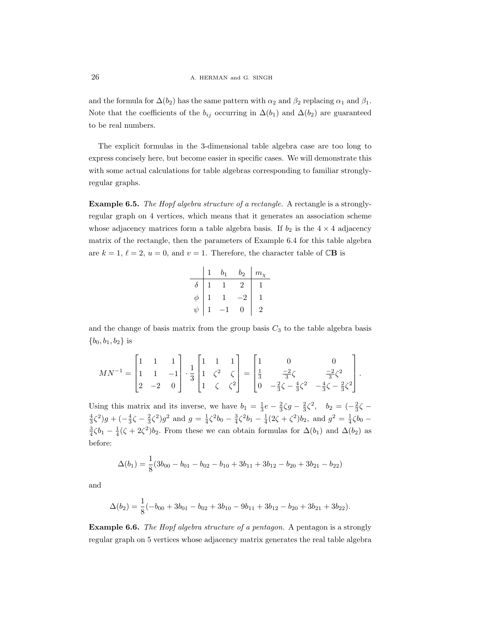and the formula for  $\Delta(b_2)$  has the same pattern with  $\alpha_2$  and  $\beta_2$  replacing  $\alpha_1$  and  $\beta_1$ . Note that the coefficients of the  $b_{ij}$  occurring in  $\Delta(b_1)$  and  $\Delta(b_2)$  are guaranteed to be real numbers.

The explicit formulas in the 3-dimensional table algebra case are too long to express concisely here, but become easier in specific cases. We will demonstrate this with some actual calculations for table algebras corresponding to familiar stronglyregular graphs.

Example 6.5. The Hopf algebra structure of a rectangle. A rectangle is a stronglyregular graph on 4 vertices, which means that it generates an association scheme whose adjacency matrices form a table algebra basis. If  $b_2$  is the  $4 \times 4$  adjacency matrix of the rectangle, then the parameters of Example 6.4 for this table algebra are  $k = 1, \ell = 2, u = 0$ , and  $v = 1$ . Therefore, the character table of CB is

|        | b1 | $b_2$ | $m_{\rm v}$ |
|--------|----|-------|-------------|
|        |    |       |             |
| đ.     |    |       |             |
| $\psi$ |    | 0     | 2           |

and the change of basis matrix from the group basis  $C_3$  to the table algebra basis  ${b_0, b_1, b_2}$  is

$$
MN^{-1} = \begin{bmatrix} 1 & 1 & 1 \\ 1 & 1 & -1 \\ 2 & -2 & 0 \end{bmatrix} \cdot \frac{1}{3} \begin{bmatrix} 1 & 1 & 1 \\ 1 & \zeta^2 & \zeta \\ 1 & \zeta & \zeta^2 \end{bmatrix} = \begin{bmatrix} 1 & 0 & 0 \\ \frac{1}{3} & \frac{-2}{3}\zeta & \frac{-2}{3}\zeta^2 \\ 0 & -\frac{2}{3}\zeta - \frac{4}{3}\zeta^2 & -\frac{4}{3}\zeta - \frac{2}{3}\zeta^2 \end{bmatrix}.
$$

Using this matrix and its inverse, we have  $b_1 = \frac{1}{3}e - \frac{2}{3}\zeta g - \frac{2}{3}\zeta^2$ ,  $b_2 = \left(-\frac{2}{3}\zeta - \frac{2}{3}\zeta\right)$  $\frac{4}{3}\zeta^2$ )g +  $\left(-\frac{4}{3}\zeta - \frac{2}{3}\zeta^2\right)g^2$  and  $g = \frac{1}{4}\zeta^2b_0 - \frac{3}{4}\zeta^2b_1 - \frac{1}{4}(2\zeta + \zeta^2)b_2$ , and  $g^2 = \frac{1}{4}\zeta b_0$  –  $\frac{3}{4}\zeta b_1 - \frac{1}{4}(\zeta + 2\zeta^2)b_2$ . From these we can obtain formulas for  $\Delta(b_1)$  and  $\Delta(b_2)$  as before:

$$
\Delta(b_1) = \frac{1}{8}(3b_{00} - b_{01} - b_{02} - b_{10} + 3b_{11} + 3b_{12} - b_{20} + 3b_{21} - b_{22})
$$

and

$$
\Delta(b_2) = \frac{1}{8}(-b_{00} + 3b_{01} - b_{02} + 3b_{10} - 9b_{11} + 3b_{12} - b_{20} + 3b_{21} + 3b_{22}).
$$

Example 6.6. The Hopf algebra structure of a pentagon. A pentagon is a strongly regular graph on 5 vertices whose adjacency matrix generates the real table algebra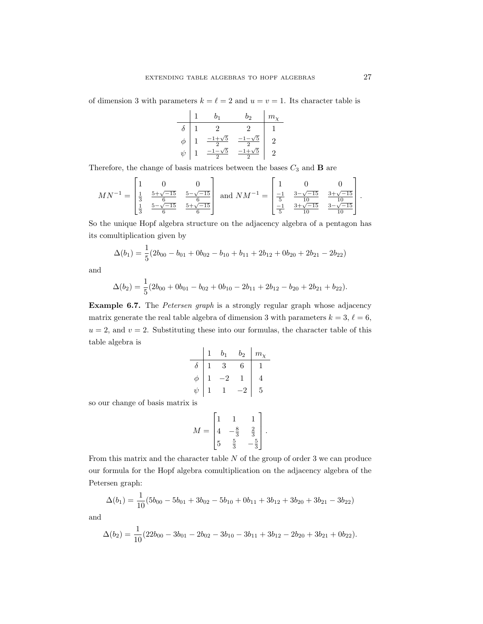of dimension 3 with parameters  $k = \ell = 2$  and  $u = v = 1$ . Its character table is

$$
\begin{array}{c|ccccc|c} & 1 & b_1 & b_2 & m_\chi \\ \hline \delta & 1 & 2 & 2 & 1 \\ \phi & 1 & \frac{-1+\sqrt{5}}{2} & \frac{-1-\sqrt{5}}{2} & 2 \\ \psi & 1 & \frac{-1-\sqrt{5}}{2} & \frac{-1+\sqrt{5}}{2} & 2 \end{array}
$$

Therefore, the change of basis matrices between the bases  $C_3$  and  ${\bf B}$  are

$$
MN^{-1} = \begin{bmatrix} 1 & 0 & 0 \\ \frac{1}{3} & \frac{5+\sqrt{-15}}{6} & \frac{5-\sqrt{-15}}{6} \\ \frac{1}{3} & \frac{5-\sqrt{-15}}{6} & \frac{5+\sqrt{-15}}{6} \end{bmatrix} \text{ and } NM^{-1} = \begin{bmatrix} 1 & 0 & 0 \\ \frac{-1}{5} & \frac{3-\sqrt{-15}}{10} & \frac{3+\sqrt{-15}}{10} \\ \frac{-1}{5} & \frac{3+\sqrt{-15}}{10} & \frac{3-\sqrt{-15}}{10} \end{bmatrix}.
$$

So the unique Hopf algebra structure on the adjacency algebra of a pentagon has its comultiplication given by

$$
\Delta(b_1) = \frac{1}{5}(2b_{00} - b_{01} + 0b_{02} - b_{10} + b_{11} + 2b_{12} + 0b_{20} + 2b_{21} - 2b_{22})
$$

and

$$
\Delta(b_2) = \frac{1}{5}(2b_{00} + 0b_{01} - b_{02} + 0b_{10} - 2b_{11} + 2b_{12} - b_{20} + 2b_{21} + b_{22}).
$$

Example 6.7. The *Petersen graph* is a strongly regular graph whose adjacency matrix generate the real table algebra of dimension 3 with parameters  $k = 3, \ell = 6$ ,  $u = 2$ , and  $v = 2$ . Substituting these into our formulas, the character table of this table algebra is

|    | b <sub>1</sub> | $b_2$ | $m_{\rm v}$ |
|----|----------------|-------|-------------|
|    | 3              |       |             |
|    |                |       |             |
| ıb |                |       | 5           |

so our change of basis matrix is

$$
M = \begin{bmatrix} 1 & 1 & 1 \\ 4 & -\frac{8}{3} & \frac{2}{3} \\ 5 & \frac{5}{3} & -\frac{5}{3} \end{bmatrix}.
$$

From this matrix and the character table N of the group of order 3 we can produce our formula for the Hopf algebra comultiplication on the adjacency algebra of the Petersen graph:

$$
\Delta(b_1) = \frac{1}{10}(5b_{00} - 5b_{01} + 3b_{02} - 5b_{10} + 0b_{11} + 3b_{12} + 3b_{20} + 3b_{21} - 3b_{22})
$$

and

$$
\Delta(b_2) = \frac{1}{10}(22b_{00} - 3b_{01} - 2b_{02} - 3b_{10} - 3b_{11} + 3b_{12} - 2b_{20} + 3b_{21} + 0b_{22}).
$$